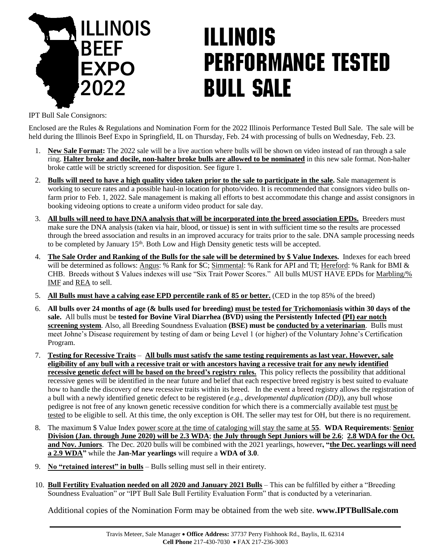

# **ILLINOIS PERFORMANCE TESTED BULL SALE**

IPT Bull Sale Consignors:

Enclosed are the Rules & Regulations and Nomination Form for the 2022 Illinois Performance Tested Bull Sale. The sale will be held during the Illinois Beef Expo in Springfield, IL on Thursday, Feb. 24 with processing of bulls on Wednesday, Feb. 23.

- 1. **New Sale Format:** The 2022 sale will be a live auction where bulls will be shown on video instead of ran through a sale ring. **Halter broke and docile, non-halter broke bulls are allowed to be nominated** in this new sale format. Non-halter broke cattle will be strictly screened for disposition. See figure 1.
- 2. **Bulls will need to have a high quality video taken prior to the sale to participate in the sale.** Sale management is working to secure rates and a possible haul-in location for photo/video. It is recommended that consignors video bulls onfarm prior to Feb. 1, 2022. Sale management is making all efforts to best accommodate this change and assist consignors in booking videoing options to create a uniform video product for sale day.
- 3. **All bulls will need to have DNA analysis that will be incorporated into the breed association EPDs.** Breeders must make sure the DNA analysis (taken via hair, blood, or tissue) is sent in with sufficient time so the results are processed through the breed association and results in an improved accuracy for traits prior to the sale. DNA sample processing needs to be completed by January  $15<sup>th</sup>$ . Both Low and High Density genetic tests will be accepted.
- 4. **The Sale Order and Ranking of the Bulls for the sale will be determined by \$ Value Indexes.** Indexes for each breed will be determined as follows: Angus: % Rank for \$C; Simmental: % Rank for API and TI; Hereford: % Rank for BMI & CHB. Breeds without \$ Values indexes will use "Six Trait Power Scores." All bulls MUST HAVE EPDs for Marbling/% IMF and REA to sell.
- 5. **All Bulls must have a calving ease EPD percentile rank of 85 or better.** (CED in the top 85% of the breed)
- 6. **All bulls over 24 months of age (& bulls used for breeding) must be tested for Trichomoniasis within 30 days of the sale.** All bulls must be **tested for Bovine Viral Diarrhea (BVD) using the Persistently Infected (PI) ear notch screening system**. Also, all Breeding Soundness Evaluation **(BSE) must be conducted by a veterinarian**. Bulls must meet Johne's Disease requirement by testing of dam or being Level 1 (or higher) of the Voluntary Johne's Certification Program.
- 7. **Testing for Recessive Traits** – **All bulls must satisfy the same testing requirements as last year. However, sale eligibility of any bull with a recessive trait or with ancestors having a recessive trait for any newly identified recessive genetic defect will be based on the breed's registry rules.** This policy reflects the possibility that additional recessive genes will be identified in the near future and belief that each respective breed registry is best suited to evaluate how to handle the discovery of new recessive traits within its breed. In the event a breed registry allows the registration of a bull with a newly identified genetic defect to be registered (*e.g., developmental duplication (DD)*), any bull whose pedigree is not free of any known genetic recessive condition for which there is a commercially available test must be tested to be eligible to sell. At this time, the only exception is OH. The seller may test for OH, but there is no requirement.
- 8. The maximum \$ Value Index power score at the time of cataloging will stay the same at **55**. **WDA Requirements**: **Senior Division (Jan. through June 2020) will be 2.3 WDA**; **the July through Sept Juniors will be 2.6**; **2.8 WDA for the Oct. and Nov. Juniors**. The Dec. 2020 bulls will be combined with the 2021 yearlings, however**, "the Dec. yearlings will need a 2.9 WDA"** while the **Jan-Mar yearlings** will require a **WDA of 3.0**.
- 9. **No "retained interest" in bulls** Bulls selling must sell in their entirety.
- 10. **Bull Fertility Evaluation needed on all 2020 and January 2021 Bulls** This can be fulfilled by either a "Breeding Soundness Evaluation" or "IPT Bull Sale Bull Fertility Evaluation Form" that is conducted by a veterinarian.

Additional copies of the Nomination Form may be obtained from the web site. **www.IPTBullSale.com**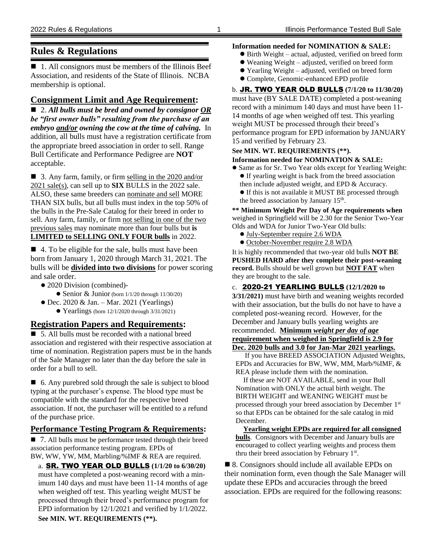#### **Rules & Regulations**

 $\blacksquare$  1. All consignors must be members of the Illinois Beef Association, and residents of the State of Illinois. NCBA membership is optional.

#### **Consignment Limit and Age Requirement:**

 2. *All bulls must be bred and owned by consignor OR be "first owner bulls" resulting from the purchase of an embryo and/or owning the cow at the time of calving.* In addition, all bulls must have a registration certificate from the appropriate breed association in order to sell. Range Bull Certificate and Performance Pedigree are **NOT** acceptable.

■ 3. Any farm, family, or firm selling in the 2020 and/or 2021 sale(s), can sell up to **SIX** BULLS in the 2022 sale. ALSO, these same breeders can nominate and sell MORE THAN SIX bulls, but all bulls must index in the top 50% of the bulls in the Pre-Sale Catalog for their breed in order to sell. Any farm, family, or firm not selling in one of the two previous sales may nominate more than four bulls but **is LIMITED to SELLING ONLY FOUR bulls** in 2022.

■ 4. To be eligible for the sale, bulls must have been born from January 1, 2020 through March 31, 2021. The bulls will be **divided into two divisions** for power scoring and sale order.

- 2020 Division (combined)-
	- Senior & Junior (born 1/1/20 through 11/30/20)
- $\bullet$  Dec. 2020 & Jan. Mar. 2021 (Yearlings) Yearlings (born 12/1/2020 through 3/31/2021)

#### **Registration Papers and Requirements:**

■ 5. All bulls must be recorded with a national breed association and registered with their respective association at time of nomination. Registration papers must be in the hands of the Sale Manager no later than the day before the sale in order for a bull to sell.

■ 6. Any purebred sold through the sale is subject to blood typing at the purchaser's expense. The blood type must be compatible with the standard for the respective breed association. If not, the purchaser will be entitled to a refund of the purchase price.

#### **Performance Testing Program & Requirements:**

■ 7. All bulls must be performance tested through their breed association performance testing program. EPDs of BW, WW, YW, MM, Marbling/%IMF & REA are required.

a. SR. TWO YEAR OLD BULLS **(1/1/20 to 6/30/20)** must have completed a post-weaning record with a minimum 140 days and must have been 11-14 months of age when weighed off test. This yearling weight MUST be processed through their breed's performance program for EPD information by 12/1/2021 and verified by 1/1/2022.

#### **Information needed for NOMINATION & SALE:**

- Birth Weight actual, adjusted, verified on breed form
- Weaning Weight adjusted, verified on breed form
- Yearling Weight adjusted, verified on breed form
- Complete, Genomic-enhanced EPD profile

#### b. JR. TWO YEAR OLD BULLS **(7/1/20 to 11/30/20)**

must have (BY SALE DATE) completed a post-weaning record with a minimum 140 days and must have been 11- 14 months of age when weighed off test. This yearling weight MUST be processed through their breed's performance program for EPD information by JANUARY 15 and verified by February 23.

#### **See MIN. WT. REQUIREMENTS (\*\*).**

#### **Information needed for NOMINATION & SALE:**

- Same as for Sr. Two Year olds except for Yearling Weight: If yearling weight is back from the breed association
	- then include adjusted weight, and EPD & Accuracy.
	- If this is not available it MUST BE processed through the breed association by January  $15<sup>th</sup>$ .

**\*\* Minimum Weight Per Day of Age requirements when** weighed in Springfield will be 2.30 for the Senior Two-Year Olds and WDA for Junior Two-Year Old bulls:

- July-September require 2.6 WDA
- October-November require 2.8 WDA

It is highly recommended that two-year old bulls **NOT BE PUSHED HARD after they complete their post-weaning record.** Bulls should be well grown but **NOT FAT** when they are brought to the sale.

c. 2020-21 YEARLING BULLS **(12/1/2020 to 3/31/2021)** must have birth and weaning weights recorded with their association, but the bulls do not have to have a completed post-weaning record. However, for the December and January bulls yearling weights are recommended. **Minimum** *weight per day of age* **requirement when weighed in Springfield is 2.9 for Dec. 2020 bulls and 3.0 for Jan-Mar 2021 yearlings.**

If you have BREED ASSOCIATION Adjusted Weights, EPDs and Accuracies for BW, WW, MM, Marb/%IMF, & REA please include them with the nomination.

If these are NOT AVAILABLE, send in your Bull Nomination with ONLY the actual birth weight. The BIRTH WEIGHT and WEANING WEIGHT must be processed through your breed association by December 1st so that EPDs can be obtained for the sale catalog in mid December.

**Yearling weight EPDs are required for all consigned bulls**. Consignors with December and January bulls are encouraged to collect yearling weights and process them thru their breed association by February 1<sup>st</sup>.

■ 8. Consignors should include all available EPDs on their nomination form, even though the Sale Manager will update these EPDs and accuracies through the breed association. EPDs are required for the following reasons:

**See MIN. WT. REQUIREMENTS (\*\*).**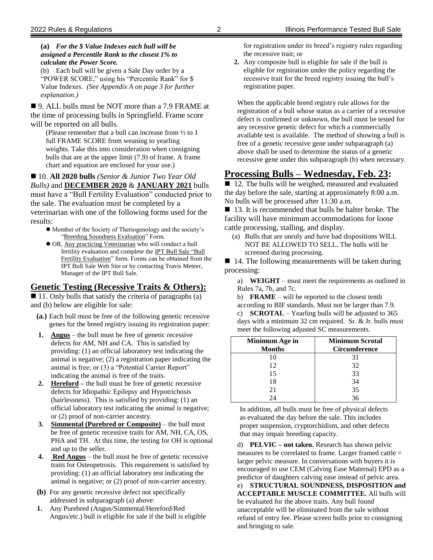#### **(a)** *For the \$ Value Indexes each bull will be assigned a Percentile Rank to the closest 1% to calculate the Power Score.*

(b) Each bull will be given a Sale Day order by a "POWER SCORE," using his "Percentile Rank" for \$ Value Indexes. *(See Appendix A on page 3 for further explanation.)*

■ 9. ALL bulls must be NOT more than a 7.9 FRAME at the time of processing bulls in Springfield. Frame score will be reported on all bulls.

(Please remember that a bull can increase from ½ to 1 full FRAME SCORE from weaning to yearling weights. Take this into consideration when consigning bulls that are at the upper limit (7.9) of frame. A frame chart and equation are enclosed for your use.)

#### ■ 10. All 2020 bulls *(Senior & Junior Two Year Old Bulls)* and **DECEMBER 2020** & **JANUARY 2021** bulls must have a "Bull Fertility Evaluation" conducted prior to the sale. The evaluation must be completed by a veterinarian with one of the following forms used for the results:

- Member of the Society of Theriogenology and the society's "Breeding Soundness Evaluation" Form.
- OR, Any practicing Veterinarian who will conduct a bull fertility evaluation and complete the IPT Bull Sale "Bull Fertility Evaluation" form. Forms can be obtained from the IPT Bull Sale Web Site or by contacting Travis Meteer, Manager of the IPT Bull Sale.

#### **Genetic Testing (Recessive Traits & Others):**

 $\blacksquare$  11. Only bulls that satisfy the criteria of paragraphs (a) and (b) below are eligible for sale:

- **(a.)** Each bull must be free of the following genetic recessive genes for the breed registry issuing its registration paper:
- **1. Angus** the bull must be free of genetic recessive defects for AM, NH and CA. This is satisfied by providing: (1) an official laboratory test indicating the animal is negative; (2) a registration paper indicating the animal is free; or (3) a "Potential Carrier Report" indicating the animal is free of the traits.
- **2. Hereford –** the bull must be free of genetic recessive defects for Idiopathic Epilepsy and Hypotrichosis (hairlessness). This is satisfied by providing: (1) an official laboratory test indicating the animal is negative; or (2) proof of non-carrier ancestry.
- **3. Simmental (Purebred or Composite)** the bull must be free of genetic recessive traits for AM, NH, CA, OS, PHA and TH. At this time, the testing for OH is optional and up to the seller.
- **4. Red Angus** the bull must be free of genetic recessive traits for Osteopetrosis. This requirement is satisfied by providing: (1) an official laboratory test indicating the animal is negative; or (2) proof of non-carrier ancestry.
- **(b)** For any genetic recessive defect not specifically addressed in subparagraph (a) above:
- **1.** Any Purebred (Angus/Simmental/Hereford/Red Angus/etc.) bull is eligible for sale if the bull is eligible

for registration under its breed's registry rules regarding the recessive trait; or

**2.** Any composite bull is eligible for sale if the bull is eligible for registration under the policy regarding the recessive trait for the breed registry issuing the bull's registration paper.

When the applicable breed registry rule allows for the registration of a bull whose status as a carrier of a recessive defect is confirmed or unknown, the bull must be tested for any recessive genetic defect for which a commercially available test is available. The method of showing a bull is free of a genetic recessive gene under subparagraph (a) above shall be used to determine the status of a genetic recessive gene under this subparagraph (b) when necessary.

### **Processing Bulls – Wednesday, Feb. 23:**

■ 12. The bulls will be weighed, measured and evaluated the day before the sale, starting at approximately 8:00 a.m. No bulls will be processed after 11:30 a.m.

■ 13. It is recommended that bulls be halter broke. The facility will have minimum accommodations for loose cattle processing, stalling, and display.

(a) Bulls that are unruly and have bad dispositions WILL NOT BE ALLOWED TO SELL. The bulls will be screened during processing.

 $\blacksquare$  14. The following measurements will be taken during processing:

a) **WEIGHT** – must meet the requirements as outlined in Rules 7a, 7b, and 7c.

b) **FRAME** – will be reported to the closest tenth according to BIF standards. Must not be larger than 7.9. c) **SCROTAL** – Yearling bulls will be adjusted to 365 days with a minimum 32 cm required. Sr. & Jr. bulls must meet the following adjusted SC measurements.

| Minimum Age in<br><b>Months</b> | <b>Minimum Scrotal</b><br>Circumference |
|---------------------------------|-----------------------------------------|
| 10                              | 31                                      |
| 12                              | 32                                      |
| 15                              | 33                                      |
| 18                              | 34                                      |
| 21                              | 35                                      |
| $2\pi$                          | 36                                      |

In addition, all bulls must be free of physical defects as evaluated the day before the sale. This includes proper suspension, cryptorchidism, and other defects that may impair breeding capacity.

d) **PELVIC – not taken.** Research has shown pelvic measures to be correlated to frame. Larger framed cattle = larger pelvic measure. In conversations with buyers it is encouraged to use CEM (Calving Ease Maternal) EPD as a predictor of daughters calving ease instead of pelvic area.

e) **STRUCTURAL SOUNDNESS, DISPOSITION and ACCEPTABLE MUSCLE COMMITTEE.** All bulls will be evaluated for the above traits. Any bull found unacceptable will be eliminated from the sale without refund of entry fee. Please screen bulls prior to consigning and bringing to sale.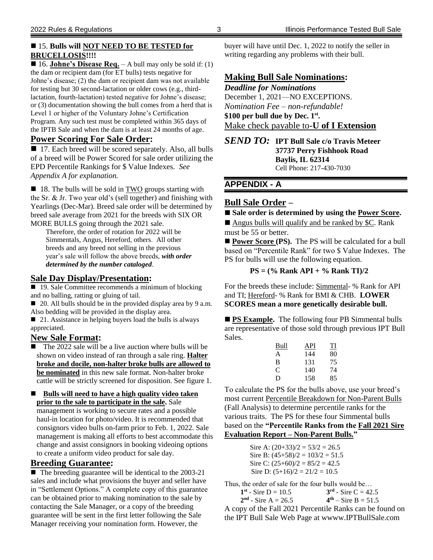#### ■ 15. **Bulls will NOT NEED TO BE TESTED for BRUCELLOSIS!!!!**

■ 16. **Johne's Disease Req.** – A bull may only be sold if: (1) the dam or recipient dam (for ET bulls) tests negative for Johne's disease; (2) the dam or recipient dam was not available for testing but 30 second-lactation or older cows (e.g., thirdlactation, fourth-lactation) tested negative for Johne's disease; or (3) documentation showing the bull comes from a herd that is Level 1 or higher of the Voluntary Johne's Certification Program. Any such test must be completed within 365 days of the IPTB Sale and when the dam is at least 24 months of age.

#### **Power Scoring For Sale Order:**

■ 17. Each breed will be scored separately. Also, all bulls of a breed will be Power Scored for sale order utilizing the EPD Percentile Rankings for \$ Value Indexes. *See Appendix A for explanation.*

 $\blacksquare$  18. The bulls will be sold in TWO groups starting with the Sr. & Jr. Two year old's (sell together) and finishing with Yearlings (Dec-Mar). Breed sale order will be determined by breed sale average from 2021 for the breeds with SIX OR MORE BULLS going through the 2021 sale.

Therefore, the order of rotation for 2022 will be Simmentals, Angus, Hereford, others. All other breeds and any breed not selling in the previous year's sale will follow the above breeds, *with order determined by the number cataloged*.

#### **Sale Day Display/Presentation:**

■ 19. Sale Committee recommends a minimum of blocking and no balling, ratting or gluing of tail.

■ 20. All bulls should be in the provided display area by 9 a.m. Also bedding will be provided in the display area.

 $\Box$  21. Assistance in helping buyers load the bulls is always appreciated.

#### **New Sale Format:**

 The 2022 sale will be a live auction where bulls will be shown on video instead of ran through a sale ring. **Halter broke and docile, non-halter broke bulls are allowed to be nominated** in this new sale format. Non-halter broke cattle will be strictly screened for disposition. See figure 1.

■ Bulls will need to have a high quality video taken **prior to the sale to participate in the sale.** Sale

management is working to secure rates and a possible haul-in location for photo/video. It is recommended that consignors video bulls on-farm prior to Feb. 1, 2022. Sale management is making all efforts to best accommodate this change and assist consignors in booking videoing options to create a uniform video product for sale day.

#### **Breeding Guarantee:**

 $\blacksquare$  The breeding guarantee will be identical to the 2003-21 sales and include what provisions the buyer and seller have in "Settlement Options." A complete copy of this guarantee can be obtained prior to making nomination to the sale by contacting the Sale Manager, or a copy of the breeding guarantee will be sent in the first letter following the Sale Manager receiving your nomination form. However, the

buyer will have until Dec. 1, 2022 to notify the seller in writing regarding any problems with their bull.

#### **Making Bull Sale Nominations:**

*Deadline for Nominations* December 1, 2021—NO EXCEPTIONS. *Nomination Fee – non-refundable!* **\$100 per bull due by Dec. 1st .** Make check payable to-**U of I Extension**

*SEND TO:* **IPT Bull Sale c/o Travis Meteer 37737 Perry Fishhook Road Baylis, IL 62314** Cell Phone: 217-430-7030

#### **APPENDIX - A**

#### **Bull Sale Order –**

```
 Sale order is determined by using the Power Score.
```
Angus bulls will qualify and be ranked by \$C. Rank must be 55 or better.

■ **Power Score (PS).** The PS will be calculated for a bull based on "Percentile Rank" for two \$ Value Indexes. The PS for bulls will use the following equation.

#### **PS = (% Rank API + % Rank TI)/2**

For the breeds these include: Simmental- % Rank for API and TI; Hereford- % Rank for BMI & CHB. **LOWER SCORES mean a more genetically desirable bull.**

**PS Example.** The following four PB Simmental bulls are representative of those sold through previous IPT Bull Sales.

| Bull | API | TI |
|------|-----|----|
| A    | 144 | 80 |
| B    | 131 | 75 |
| C    | 140 | 74 |
| D    | 158 | 85 |

To calculate the PS for the bulls above, use your breed's most current Percentile Breakdown for Non-Parent Bulls (Fall Analysis) to determine percentile ranks for the various traits. The PS for these four Simmental bulls based on the **"Percentile Ranks from the Fall 2021 Sire Evaluation Report – Non-Parent Bulls."**

| Sire A: $(20+33)/2 = 53/2 = 26.5$  |
|------------------------------------|
| Sire B: $(45+58)/2 = 103/2 = 51.5$ |
| Sire C: $(25+60)/2 = 85/2 = 42.5$  |
| Sire D: $(5+16)/2 = 21/2 = 10.5$   |

Thus, the order of sale for the four bulls would be…

| $1^{st}$ - Sire D = 10.5 | $3^{rd}$ - Sire C = 42.5 |
|--------------------------|--------------------------|
| $2nd$ - Sire A = 26.5    | $4th - Sire B = 51.5$    |

A copy of the Fall 2021 Percentile Ranks can be found on the IPT Bull Sale Web Page at wwww.IPTBullSale.com